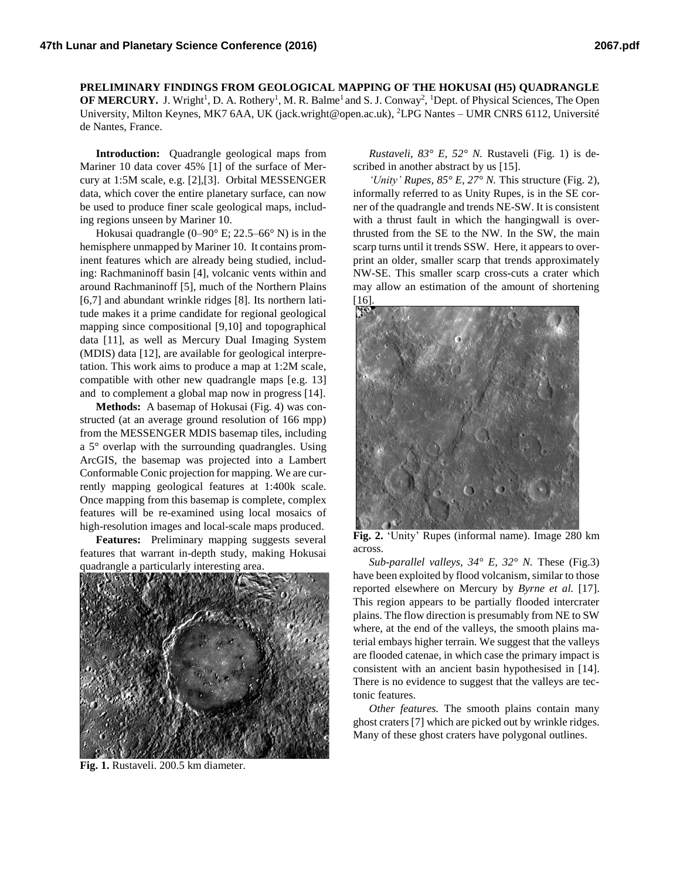**PRELIMINARY FINDINGS FROM GEOLOGICAL MAPPING OF THE HOKUSAI (H5) QUADRANGLE OF MERCURY.** J. Wright<sup>1</sup>, D. A. Rothery<sup>1</sup>, M. R. Balme<sup>1</sup> and S. J. Conway<sup>2</sup>, <sup>1</sup>Dept. of Physical Sciences, The Open University, Milton Keynes, MK7 6AA, UK (jack.wright@open.ac.uk), <sup>2</sup>LPG Nantes – UMR CNRS 6112, Université de Nantes, France.

**Introduction:** Quadrangle geological maps from Mariner 10 data cover 45% [1] of the surface of Mercury at 1:5M scale, e.g. [2],[3]. Orbital MESSENGER data, which cover the entire planetary surface, can now be used to produce finer scale geological maps, including regions unseen by Mariner 10.

Hokusai quadrangle (0–90° E; 22.5–66° N) is in the hemisphere unmapped by Mariner 10. It contains prominent features which are already being studied, including: Rachmaninoff basin [4], volcanic vents within and around Rachmaninoff [5], much of the Northern Plains [6,7] and abundant wrinkle ridges [8]. Its northern latitude makes it a prime candidate for regional geological mapping since compositional [9,10] and topographical data [11], as well as Mercury Dual Imaging System (MDIS) data [12], are available for geological interpretation. This work aims to produce a map at 1:2M scale, compatible with other new quadrangle maps [e.g. 13] and to complement a global map now in progress [14].

**Methods:** A basemap of Hokusai (Fig. 4) was constructed (at an average ground resolution of 166 mpp) from the MESSENGER MDIS basemap tiles, including a 5° overlap with the surrounding quadrangles. Using ArcGIS, the basemap was projected into a Lambert Conformable Conic projection for mapping. We are currently mapping geological features at 1:400k scale. Once mapping from this basemap is complete, complex features will be re-examined using local mosaics of high-resolution images and local-scale maps produced.

**Features:** Preliminary mapping suggests several features that warrant in-depth study, making Hokusai quadrangle a particularly interesting area.



**Fig. 1.** Rustaveli. 200.5 km diameter.

*Rustaveli, 83° E, 52° N.* Rustaveli (Fig. 1) is described in another abstract by us [15].

*'Unity' Rupes, 85° E, 27° N.* This structure (Fig. 2), informally referred to as Unity Rupes, is in the SE corner of the quadrangle and trends NE-SW. It is consistent with a thrust fault in which the hangingwall is overthrusted from the SE to the NW. In the SW, the main scarp turns until it trends SSW. Here, it appears to overprint an older, smaller scarp that trends approximately NW-SE. This smaller scarp cross-cuts a crater which may allow an estimation of the amount of shortening [16].



**Fig. 2.** 'Unity' Rupes (informal name). Image 280 km across.

*Sub-parallel valleys, 34° E, 32° N.* These (Fig.3) have been exploited by flood volcanism, similar to those reported elsewhere on Mercury by *Byrne et al.* [17]. This region appears to be partially flooded intercrater plains. The flow direction is presumably from NE to SW where, at the end of the valleys, the smooth plains material embays higher terrain. We suggest that the valleys are flooded catenae, in which case the primary impact is consistent with an ancient basin hypothesised in [14]. There is no evidence to suggest that the valleys are tectonic features.

*Other features.* The smooth plains contain many ghost craters [7] which are picked out by wrinkle ridges. Many of these ghost craters have polygonal outlines.